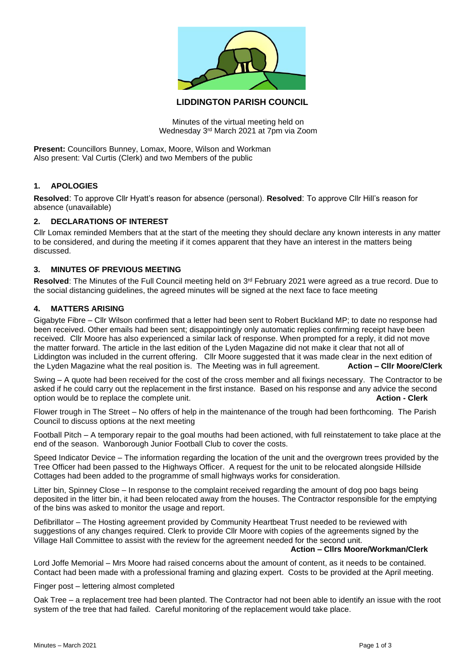

# **LIDDINGTON PARISH COUNCIL**

Minutes of the virtual meeting held on Wednesday 3rd March 2021 at 7pm via Zoom

**Present:** Councillors Bunney, Lomax, Moore, Wilson and Workman Also present: Val Curtis (Clerk) and two Members of the public

### **1. APOLOGIES**

**Resolved**: To approve Cllr Hyatt's reason for absence (personal). **Resolved**: To approve Cllr Hill's reason for absence (unavailable)

### **2. DECLARATIONS OF INTEREST**

Cllr Lomax reminded Members that at the start of the meeting they should declare any known interests in any matter to be considered, and during the meeting if it comes apparent that they have an interest in the matters being discussed.

### **3. MINUTES OF PREVIOUS MEETING**

Resolved: The Minutes of the Full Council meeting held on 3<sup>rd</sup> February 2021 were agreed as a true record. Due to the social distancing guidelines, the agreed minutes will be signed at the next face to face meeting

#### **4. MATTERS ARISING**

Gigabyte Fibre – Cllr Wilson confirmed that a letter had been sent to Robert Buckland MP; to date no response had been received. Other emails had been sent; disappointingly only automatic replies confirming receipt have been received. Cllr Moore has also experienced a similar lack of response. When prompted for a reply, it did not move the matter forward. The article in the last edition of the Lyden Magazine did not make it clear that not all of Liddington was included in the current offering. Cllr Moore suggested that it was made clear in the next edition of the Lyden Magazine what the real position is. The Meeting was in full agreement. **Action – Cllr Moore/Clerk**

Swing – A quote had been received for the cost of the cross member and all fixings necessary. The Contractor to be asked if he could carry out the replacement in the first instance. Based on his response and any advice the second option would be to replace the complete unit. **Action - Clerk**

Flower trough in The Street – No offers of help in the maintenance of the trough had been forthcoming. The Parish Council to discuss options at the next meeting

Football Pitch – A temporary repair to the goal mouths had been actioned, with full reinstatement to take place at the end of the season. Wanborough Junior Football Club to cover the costs.

Speed Indicator Device – The information regarding the location of the unit and the overgrown trees provided by the Tree Officer had been passed to the Highways Officer. A request for the unit to be relocated alongside Hillside Cottages had been added to the programme of small highways works for consideration.

Litter bin, Spinney Close – In response to the complaint received regarding the amount of dog poo bags being deposited in the litter bin, it had been relocated away from the houses. The Contractor responsible for the emptying of the bins was asked to monitor the usage and report.

Defibrillator – The Hosting agreement provided by Community Heartbeat Trust needed to be reviewed with suggestions of any changes required. Clerk to provide Cllr Moore with copies of the agreements signed by the Village Hall Committee to assist with the review for the agreement needed for the second unit.

#### **Action – Cllrs Moore/Workman/Clerk**

Lord Joffe Memorial – Mrs Moore had raised concerns about the amount of content, as it needs to be contained. Contact had been made with a professional framing and glazing expert. Costs to be provided at the April meeting.

### Finger post – lettering almost completed

Oak Tree – a replacement tree had been planted. The Contractor had not been able to identify an issue with the root system of the tree that had failed. Careful monitoring of the replacement would take place.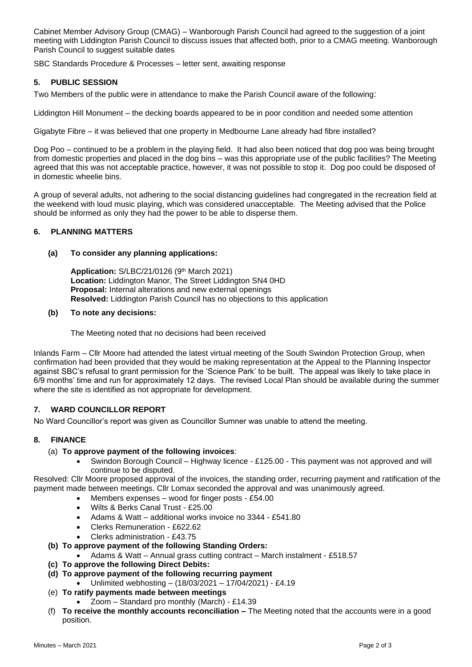Cabinet Member Advisory Group (CMAG) – Wanborough Parish Council had agreed to the suggestion of a joint meeting with Liddington Parish Council to discuss issues that affected both, prior to a CMAG meeting. Wanborough Parish Council to suggest suitable dates

SBC Standards Procedure & Processes – letter sent, awaiting response

## **5. PUBLIC SESSION**

Two Members of the public were in attendance to make the Parish Council aware of the following:

Liddington Hill Monument – the decking boards appeared to be in poor condition and needed some attention

Gigabyte Fibre – it was believed that one property in Medbourne Lane already had fibre installed?

Dog Poo – continued to be a problem in the playing field. It had also been noticed that dog poo was being brought from domestic properties and placed in the dog bins – was this appropriate use of the public facilities? The Meeting agreed that this was not acceptable practice, however, it was not possible to stop it. Dog poo could be disposed of in domestic wheelie bins.

A group of several adults, not adhering to the social distancing guidelines had congregated in the recreation field at the weekend with loud music playing, which was considered unacceptable. The Meeting advised that the Police should be informed as only they had the power to be able to disperse them.

## **6. PLANNING MATTERS**

#### **(a) To consider any planning applications:**

**Application: S/LBC/21/0126 (9th March 2021) Location:** Liddington Manor, The Street Liddington SN4 0HD **Proposal:** Internal alterations and new external openings **Resolved:** Liddington Parish Council has no objections to this application

#### **(b) To note any decisions:**

The Meeting noted that no decisions had been received

Inlands Farm – Cllr Moore had attended the latest virtual meeting of the South Swindon Protection Group, when confirmation had been provided that they would be making representation at the Appeal to the Planning Inspector against SBC's refusal to grant permission for the 'Science Park' to be built. The appeal was likely to take place in 6/9 months' time and run for approximately 12 days. The revised Local Plan should be available during the summer where the site is identified as not appropriate for development.

## **7. WARD COUNCILLOR REPORT**

No Ward Councillor's report was given as Councillor Sumner was unable to attend the meeting.

## **8. FINANCE**

#### (a) **To approve payment of the following invoices**:

• Swindon Borough Council – Highway licence - £125.00 - This payment was not approved and will continue to be disputed.

Resolved: Cllr Moore proposed approval of the invoices, the standing order, recurring payment and ratification of the payment made between meetings. Cllr Lomax seconded the approval and was unanimously agreed.

- Members expenses wood for finger posts £54.00
- Wilts & Berks Canal Trust £25.00
- Adams & Watt additional works invoice no 3344 £541.80
- Clerks Remuneration £622.62
- Clerks administration £43.75
- **(b) To approve payment of the following Standing Orders:**
	- Adams & Watt Annual grass cutting contract March instalment £518.57
- **(c) To approve the following Direct Debits:**
- **(d) To approve payment of the following recurring payment**
	- Unlimited webhosting (18/03/2021 17/04/2021) £4.19
- (e) **To ratify payments made between meetings**
	- Zoom Standard pro monthly (March) £14.39
- (f) **To receive the monthly accounts reconciliation –** The Meeting noted that the accounts were in a good position.